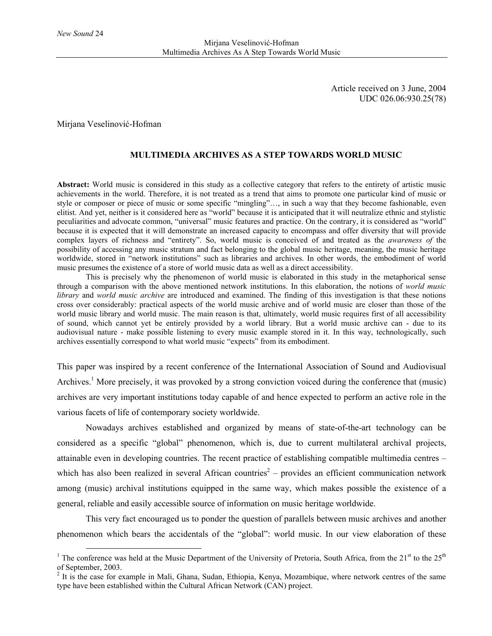Article received on 3 June, 2004 UDC 026.06:930.25(78)

Mirjana Veselinović-Hofman

# **MULTIMEDIA ARCHIVES AS A STEP TOWARDS WORLD MUSIC**

**Abstract:** World music is considered in this study as a collective category that refers to the entirety of artistic music achievements in the world. Therefore, it is not treated as a trend that aims to promote one particular kind of music or style or composer or piece of music or some specific "mingling"…, in such a way that they become fashionable, even elitist. And yet, neither is it considered here as "world" because it is anticipated that it will neutralize ethnic and stylistic peculiarities and advocate common, "universal" music features and practice. On the contrary, it is considered as "world" because it is expected that it will demonstrate an increased capacity to encompass and offer diversity that will provide complex layers of richness and "entirety". So, world music is conceived of and treated as the *awareness of* the possibility of accessing any music stratum and fact belonging to the global music heritage, meaning, the music heritage worldwide, stored in "network institutions" such as libraries and archives. In other words, the embodiment of world music presumes the existence of a store of world music data as well as a direct accessibility.

This is precisely why the phenomenon of world music is elaborated in this study in the metaphorical sense through a comparison with the above mentioned network institutions. In this elaboration, the notions of *world music library* and *world music archive* are introduced and examined. The finding of this investigation is that these notions cross over considerably: practical aspects of the world music archive and of world music are closer than those of the world music library and world music. The main reason is that, ultimately, world music requires first of all accessibility of sound, which cannot yet be entirely provided by a world library. But a world music archive can - due to its audiovisual nature - make possible listening to every music example stored in it. In this way, technologically, such archives essentially correspond to what world music "expects" from its embodiment.

This paper was inspired by a recent conference of the International Association of Sound and Audiovisual Archives.<sup>1</sup> More precisely, it was provoked by a strong conviction voiced during the conference that (music) archives are very important institutions today capable of and hence expected to perform an active role in the various facets of life of contemporary society worldwide.

Nowadays archives established and organized by means of state-of-the-art technology can be considered as a specific "global" phenomenon, which is, due to current multilateral archival projects, attainable even in developing countries. The recent practice of establishing compatible multimedia centres – which has also been realized in several African countries<sup>2</sup> – provides an efficient communication network among (music) archival institutions equipped in the same way, which makes possible the existence of a general, reliable and easily accessible source of information on music heritage worldwide.

This very fact encouraged us to ponder the question of parallels between music archives and another phenomenon which bears the accidentals of the "global": world music. In our view elaboration of these

<sup>&</sup>lt;sup>1</sup> The conference was held at the Music Department of the University of Pretoria, South Africa, from the 21<sup>st</sup> to the 25<sup>th</sup> of September, 2003.

 $2<sup>2</sup>$  It is the case for example in Mali, Ghana, Sudan, Ethiopia, Kenya, Mozambique, where network centres of the same type have been established within the Cultural African Network (CAN) project.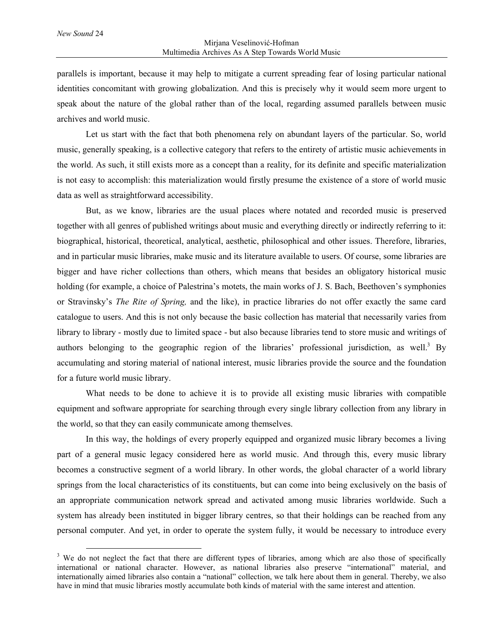parallels is important, because it may help to mitigate a current spreading fear of losing particular national identities concomitant with growing globalization. And this is precisely why it would seem more urgent to speak about the nature of the global rather than of the local, regarding assumed parallels between music archives and world music.

Let us start with the fact that both phenomena rely on abundant layers of the particular. So, world music, generally speaking, is a collective category that refers to the entirety of artistic music achievements in the world. As such, it still exists more as a concept than a reality, for its definite and specific materialization is not easy to accomplish: this materialization would firstly presume the existence of a store of world music data as well as straightforward accessibility.

But, as we know, libraries are the usual places where notated and recorded music is preserved together with all genres of published writings about music and everything directly or indirectly referring to it: biographical, historical, theoretical, analytical, aesthetic, philosophical and other issues. Therefore, libraries, and in particular music libraries, make music and its literature available to users. Of course, some libraries are bigger and have richer collections than others, which means that besides an obligatory historical music holding (for example, a choice of Palestrina's motets, the main works of J. S. Bach, Beethoven's symphonies or Stravinsky's *The Rite of Spring,* and the like), in practice libraries do not offer exactly the same card catalogue to users. And this is not only because the basic collection has material that necessarily varies from library to library - mostly due to limited space - but also because libraries tend to store music and writings of authors belonging to the geographic region of the libraries' professional jurisdiction, as well.<sup>3</sup> By accumulating and storing material of national interest, music libraries provide the source and the foundation for a future world music library.

What needs to be done to achieve it is to provide all existing music libraries with compatible equipment and software appropriate for searching through every single library collection from any library in the world, so that they can easily communicate among themselves.

In this way, the holdings of every properly equipped and organized music library becomes a living part of a general music legacy considered here as world music. And through this, every music library becomes a constructive segment of a world library. In other words, the global character of a world library springs from the local characteristics of its constituents, but can come into being exclusively on the basis of an appropriate communication network spread and activated among music libraries worldwide. Such a system has already been instituted in bigger library centres, so that their holdings can be reached from any personal computer. And yet, in order to operate the system fully, it would be necessary to introduce every

<sup>&</sup>lt;sup>3</sup> We do not neglect the fact that there are different types of libraries, among which are also those of specifically international or national character. However, as national libraries also preserve "international" material, and internationally aimed libraries also contain a "national" collection, we talk here about them in general. Thereby, we also have in mind that music libraries mostly accumulate both kinds of material with the same interest and attention.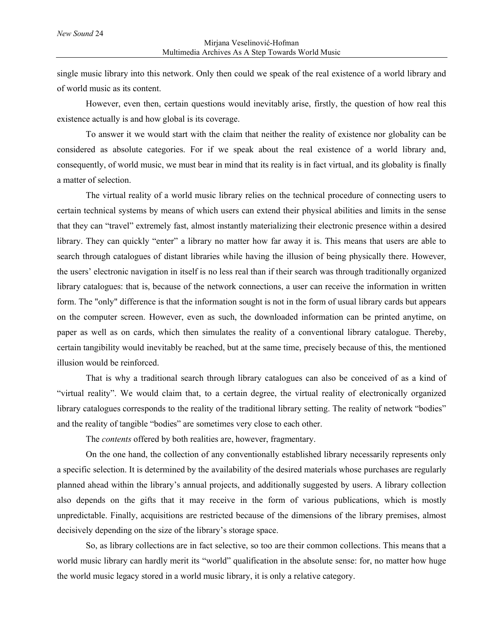single music library into this network. Only then could we speak of the real existence of a world library and of world music as its content.

However, even then, certain questions would inevitably arise, firstly, the question of how real this existence actually is and how global is its coverage.

To answer it we would start with the claim that neither the reality of existence nor globality can be considered as absolute categories. For if we speak about the real existence of a world library and, consequently, of world music, we must bear in mind that its reality is in fact virtual, and its globality is finally a matter of selection.

The virtual reality of a world music library relies on the technical procedure of connecting users to certain technical systems by means of which users can extend their physical abilities and limits in the sense that they can "travel" extremely fast, almost instantly materializing their electronic presence within a desired library. They can quickly "enter" a library no matter how far away it is. This means that users are able to search through catalogues of distant libraries while having the illusion of being physically there. However, the users' electronic navigation in itself is no less real than if their search was through traditionally organized library catalogues: that is, because of the network connections, a user can receive the information in written form. The "only" difference is that the information sought is not in the form of usual library cards but appears on the computer screen. However, even as such, the downloaded information can be printed anytime, on paper as well as on cards, which then simulates the reality of a conventional library catalogue. Thereby, certain tangibility would inevitably be reached, but at the same time, precisely because of this, the mentioned illusion would be reinforced.

That is why a traditional search through library catalogues can also be conceived of as a kind of "virtual reality". We would claim that, to a certain degree, the virtual reality of electronically organized library catalogues corresponds to the reality of the traditional library setting. The reality of network "bodies" and the reality of tangible "bodies" are sometimes very close to each other.

The *contents* offered by both realities are, however, fragmentary.

On the one hand, the collection of any conventionally established library necessarily represents only a specific selection. It is determined by the availability of the desired materials whose purchases are regularly planned ahead within the library's annual projects, and additionally suggested by users. A library collection also depends on the gifts that it may receive in the form of various publications, which is mostly unpredictable. Finally, acquisitions are restricted because of the dimensions of the library premises, almost decisively depending on the size of the library's storage space.

So, as library collections are in fact selective, so too are their common collections. This means that a world music library can hardly merit its "world" qualification in the absolute sense: for, no matter how huge the world music legacy stored in a world music library, it is only a relative category.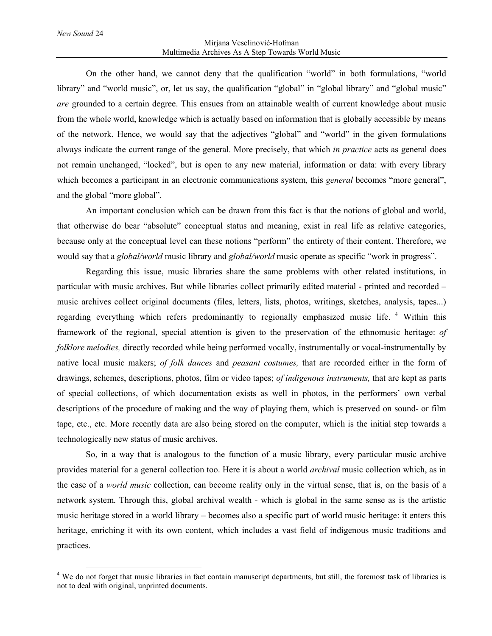#### Mirjana Veselinović-Hofman Multimedia Archives As A Step Towards World Music

On the other hand, we cannot deny that the qualification "world" in both formulations, "world library" and "world music", or, let us say, the qualification "global" in "global library" and "global music" *are* grounded to a certain degree. This ensues from an attainable wealth of current knowledge about music from the whole world, knowledge which is actually based on information that is globally accessible by means of the network. Hence, we would say that the adjectives "global" and "world" in the given formulations always indicate the current range of the general. More precisely, that which *in practice* acts as general does not remain unchanged, "locked", but is open to any new material, information or data: with every library which becomes a participant in an electronic communications system, this *general* becomes "more general", and the global "more global".

An important conclusion which can be drawn from this fact is that the notions of global and world, that otherwise do bear "absolute" conceptual status and meaning, exist in real life as relative categories, because only at the conceptual level can these notions "perform" the entirety of their content. Therefore, we would say that a *global/world* music library and *global/world* music operate as specific "work in progress".

Regarding this issue, music libraries share the same problems with other related institutions, in particular with music archives. But while libraries collect primarily edited material - printed and recorded – music archives collect original documents (files, letters, lists, photos, writings, sketches, analysis, tapes...) regarding everything which refers predominantly to regionally emphasized music life.<sup>4</sup> Within this framework of the regional, special attention is given to the preservation of the ethnomusic heritage: *of folklore melodies,* directly recorded while being performed vocally, instrumentally or vocal-instrumentally by native local music makers; *of folk dances* and *peasant costumes,* that are recorded either in the form of drawings, schemes, descriptions, photos, film or video tapes; *of indigenous instruments,* that are kept as parts of special collections, of which documentation exists as well in photos, in the performers' own verbal descriptions of the procedure of making and the way of playing them, which is preserved on sound- or film tape, etc., etc. More recently data are also being stored on the computer, which is the initial step towards a technologically new status of music archives.

So, in a way that is analogous to the function of a music library, every particular music archive provides material for a general collection too. Here it is about a world *archival* music collection which, as in the case of a *world music* collection, can become reality only in the virtual sense, that is, on the basis of a network system. Through this, global archival wealth - which is global in the same sense as is the artistic music heritage stored in a world library – becomes also a specific part of world music heritage: it enters this heritage, enriching it with its own content, which includes a vast field of indigenous music traditions and practices.

<sup>&</sup>lt;sup>4</sup> We do not forget that music libraries in fact contain manuscript departments, but still, the foremost task of libraries is not to deal with original, unprinted documents.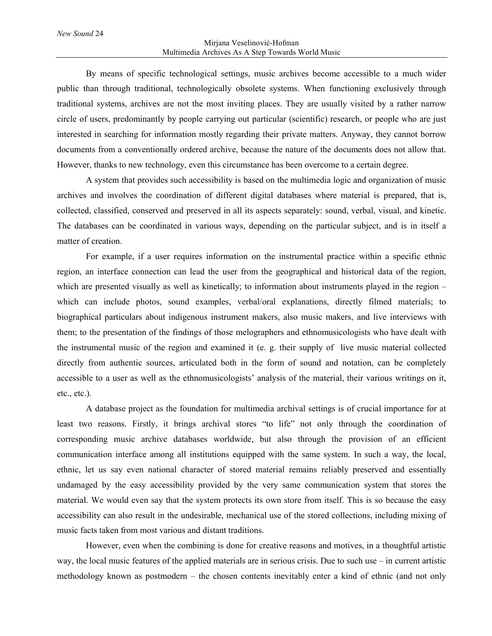### Mirjana Veselinović-Hofman Multimedia Archives As A Step Towards World Music

By means of specific technological settings, music archives become accessible to a much wider public than through traditional, technologically obsolete systems. When functioning exclusively through traditional systems, archives are not the most inviting places. They are usually visited by a rather narrow circle of users, predominantly by people carrying out particular (scientific) research, or people who are just interested in searching for information mostly regarding their private matters. Anyway, they cannot borrow documents from a conventionally ordered archive, because the nature of the documents does not allow that. However, thanks to new technology, even this circumstance has been overcome to a certain degree.

A system that provides such accessibility is based on the multimedia logic and organization of music archives and involves the coordination of different digital databases where material is prepared, that is, collected, classified, conserved and preserved in all its aspects separately: sound, verbal, visual, and kinetic. The databases can be coordinated in various ways, depending on the particular subject, and is in itself a matter of creation.

For example, if a user requires information on the instrumental practice within a specific ethnic region, an interface connection can lead the user from the geographical and historical data of the region, which are presented visually as well as kinetically; to information about instruments played in the region – which can include photos, sound examples, verbal/oral explanations, directly filmed materials; to biographical particulars about indigenous instrument makers, also music makers, and live interviews with them; to the presentation of the findings of those melographers and ethnomusicologists who have dealt with the instrumental music of the region and examined it (e. g. their supply of live music material collected directly from authentic sources, articulated both in the form of sound and notation, can be completely accessible to a user as well as the ethnomusicologists' analysis of the material, their various writings on it, etc., etc.).

A database project as the foundation for multimedia archival settings is of crucial importance for at least two reasons. Firstly, it brings archival stores "to life" not only through the coordination of corresponding music archive databases worldwide, but also through the provision of an efficient communication interface among all institutions equipped with the same system. In such a way, the local, ethnic, let us say even national character of stored material remains reliably preserved and essentially undamaged by the easy accessibility provided by the very same communication system that stores the material. We would even say that the system protects its own store from itself. This is so because the easy accessibility can also result in the undesirable, mechanical use of the stored collections, including mixing of music facts taken from most various and distant traditions.

However, even when the combining is done for creative reasons and motives, in a thoughtful artistic way, the local music features of the applied materials are in serious crisis. Due to such use – in current artistic methodology known as postmodern – the chosen contents inevitably enter a kind of ethnic (and not only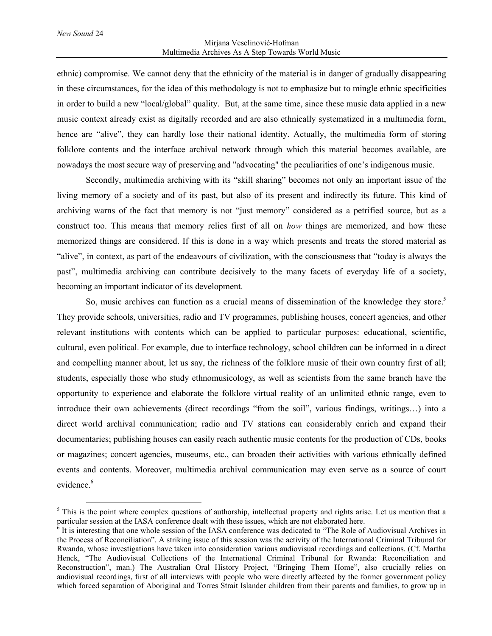## Mirjana Veselinović-Hofman Multimedia Archives As A Step Towards World Music

ethnic) compromise. We cannot deny that the ethnicity of the material is in danger of gradually disappearing in these circumstances, for the idea of this methodology is not to emphasize but to mingle ethnic specificities in order to build a new "local/global" quality. But, at the same time, since these music data applied in a new music context already exist as digitally recorded and are also ethnically systematized in a multimedia form, hence are "alive", they can hardly lose their national identity. Actually, the multimedia form of storing folklore contents and the interface archival network through which this material becomes available, are nowadays the most secure way of preserving and "advocating" the peculiarities of one's indigenous music.

Secondly, multimedia archiving with its "skill sharing" becomes not only an important issue of the living memory of a society and of its past, but also of its present and indirectly its future. This kind of archiving warns of the fact that memory is not "just memory" considered as a petrified source, but as a construct too. This means that memory relies first of all on *how* things are memorized, and how these memorized things are considered. If this is done in a way which presents and treats the stored material as "alive", in context, as part of the endeavours of civilization, with the consciousness that "today is always the past", multimedia archiving can contribute decisively to the many facets of everyday life of a society, becoming an important indicator of its development.

So, music archives can function as a crucial means of dissemination of the knowledge they store.<sup>5</sup> They provide schools, universities, radio and TV programmes, publishing houses, concert agencies, and other relevant institutions with contents which can be applied to particular purposes: educational, scientific, cultural, even political. For example, due to interface technology, school children can be informed in a direct and compelling manner about, let us say, the richness of the folklore music of their own country first of all; students, especially those who study ethnomusicology, as well as scientists from the same branch have the opportunity to experience and elaborate the folklore virtual reality of an unlimited ethnic range, even to introduce their own achievements (direct recordings "from the soil", various findings, writings…) into a direct world archival communication; radio and TV stations can considerably enrich and expand their documentaries; publishing houses can easily reach authentic music contents for the production of CDs, books or magazines; concert agencies, museums, etc., can broaden their activities with various ethnically defined events and contents. Moreover, multimedia archival communication may even serve as a source of court evidence.<sup>6</sup>

<sup>&</sup>lt;sup>5</sup> This is the point where complex questions of authorship, intellectual property and rights arise. Let us mention that a particular session at the IASA conference dealt with these issues, which are not elaborated here.

 $6$  It is interesting that one whole session of the IASA conference was dedicated to "The Role of Audiovisual Archives in the Process of Reconciliation". A striking issue of this session was the activity of the International Criminal Tribunal for Rwanda, whose investigations have taken into consideration various audiovisual recordings and collections. (Cf. Martha Henck, "The Audiovisual Collections of the International Criminal Tribunal for Rwanda: Reconciliation and Reconstruction", man.) The Australian Oral History Project, "Bringing Them Home", also crucially relies on audiovisual recordings, first of all interviews with people who were directly affected by the former government policy which forced separation of Aboriginal and Torres Strait Islander children from their parents and families, to grow up in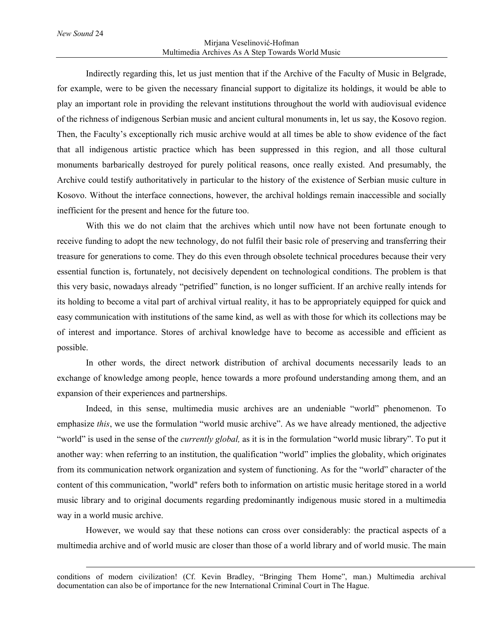$\overline{a}$ 

### Mirjana Veselinović-Hofman Multimedia Archives As A Step Towards World Music

Indirectly regarding this, let us just mention that if the Archive of the Faculty of Music in Belgrade, for example, were to be given the necessary financial support to digitalize its holdings, it would be able to play an important role in providing the relevant institutions throughout the world with audiovisual evidence of the richness of indigenous Serbian music and ancient cultural monuments in, let us say, the Kosovo region. Then, the Faculty's exceptionally rich music archive would at all times be able to show evidence of the fact that all indigenous artistic practice which has been suppressed in this region, and all those cultural monuments barbarically destroyed for purely political reasons, once really existed. And presumably, the Archive could testify authoritatively in particular to the history of the existence of Serbian music culture in Kosovo. Without the interface connections, however, the archival holdings remain inaccessible and socially inefficient for the present and hence for the future too.

With this we do not claim that the archives which until now have not been fortunate enough to receive funding to adopt the new technology, do not fulfil their basic role of preserving and transferring their treasure for generations to come. They do this even through obsolete technical procedures because their very essential function is, fortunately, not decisively dependent on technological conditions. The problem is that this very basic, nowadays already "petrified" function, is no longer sufficient. If an archive really intends for its holding to become a vital part of archival virtual reality, it has to be appropriately equipped for quick and easy communication with institutions of the same kind, as well as with those for which its collections may be of interest and importance. Stores of archival knowledge have to become as accessible and efficient as possible.

In other words, the direct network distribution of archival documents necessarily leads to an exchange of knowledge among people, hence towards a more profound understanding among them, and an expansion of their experiences and partnerships.

Indeed, in this sense, multimedia music archives are an undeniable "world" phenomenon. To emphasize *this*, we use the formulation "world music archive". As we have already mentioned, the adjective "world" is used in the sense of the *currently global,* as it is in the formulation "world music library". To put it another way: when referring to an institution, the qualification "world" implies the globality, which originates from its communication network organization and system of functioning. As for the "world" character of the content of this communication, "world" refers both to information on artistic music heritage stored in a world music library and to original documents regarding predominantly indigenous music stored in a multimedia way in a world music archive.

However, we would say that these notions can cross over considerably: the practical aspects of a multimedia archive and of world music are closer than those of a world library and of world music. The main

conditions of modern civilization! (Cf. Kevin Bradley, "Bringing Them Home", man.) Multimedia archival documentation can also be of importance for the new International Criminal Court in The Hague.